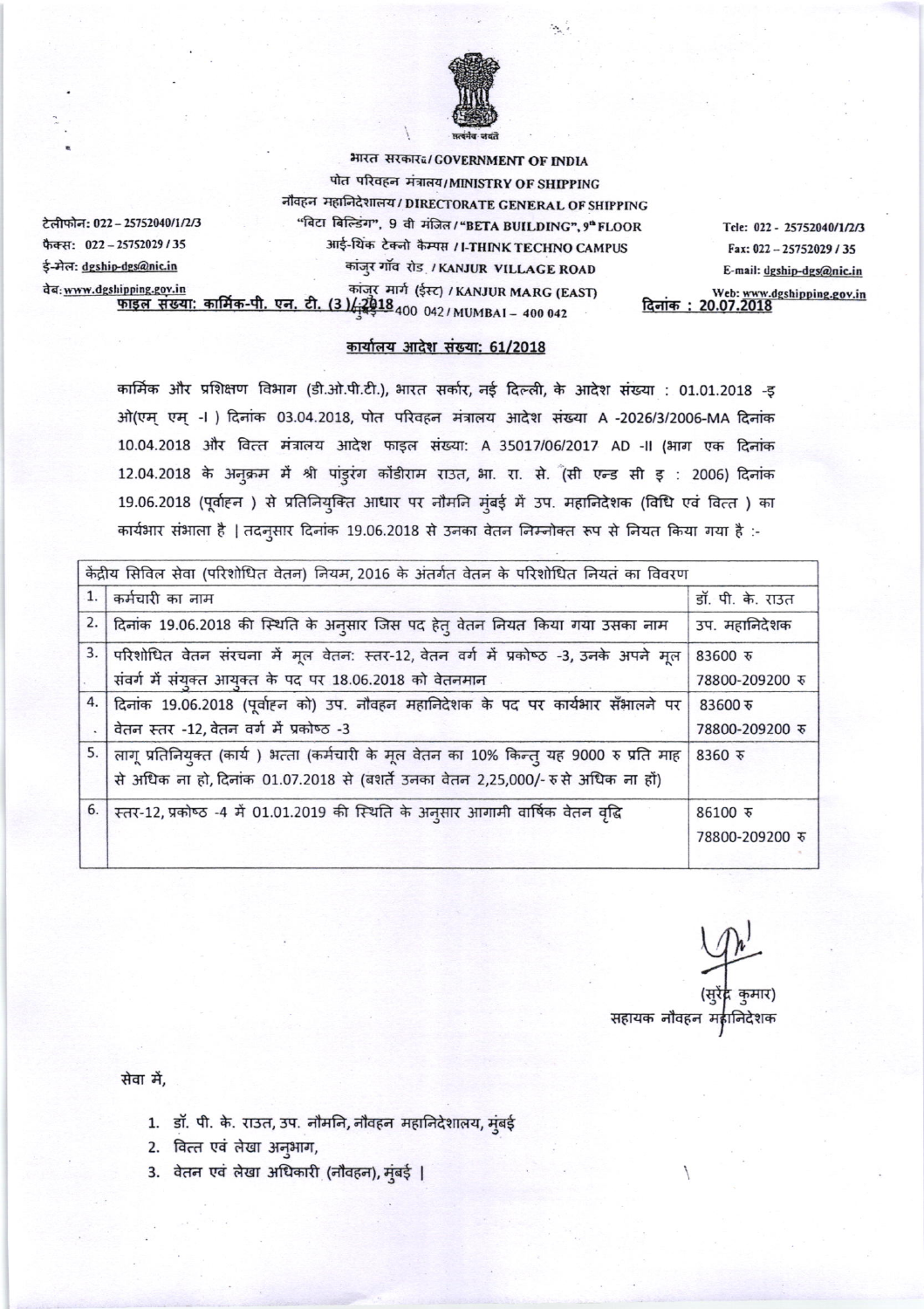

भारत सरकार¤/GOVERNMENT OF INDIA पोत परिवहन मंत्रालय/MINISTRY OF SHIPPING नौवहन महानिदेशालय / DIRECTORATE GENERAL OF SHIPPING "बिटा बिल्डिंग", 9 वी मंजिल / "BETA BUILDING", 9" FLOOR आई-थिंक टेक्नो कैम्पस / I-THINK TECHNO CAMPUS कांजुर गाँव रोड / KANJUR VILLAGE ROAD कांजुर मार्ग (ईस्ट) / KANJUR MARG (EAST) Web: www.dgshipping.gov.in <u>फाइल संख्या: कार्मिक-पी. एन. टी.</u>  $(3)\sqrt{2018}$ <sub>400</sub> 042/MUMBAI - 400 042

टेलीफोन: 022 - 25752040/1/2/3 फैक्स: 022-25752029/35 ई-मेल: dgship-dgs@nic.in वेब: www.dgshipping.gov.in

कार्यालय आदेश संख्या: 61/2018

कार्मिक और प्रशिक्षण विभाग (डी.ओ.पी.टी.), भारत सर्कार, नई दिल्ली, के आदेश संख्या : 01.01.2018 -इ ओ(एम् एम् -।) दिनांक 03.04.2018, पोत परिवहन मंत्रालय आदेश संख्या A -2026/3/2006-MA दिनांक 10.04.2018 और वित्त मंत्रालय आदेश फाइल संख्या: A 35017/06/2017 AD -II (भाग एक दिनांक 12.04.2018 के अनुक्रम में श्री पांड्रंग कोंडीराम राउत, भा. रा. से. (सी एन्ड सी इ : 2006) दिनांक 19.06.2018 (पूर्वाहन) से प्रतिनियुक्ति आधार पर नौमनि मुंबई में उप. महानिदेशक (विधि एवं वित्त) का कार्यभार संभाला है | तदनुसार दिनांक 19.06.2018 से उनका वेतन निम्नोक्त रूप से नियत किया गया है :-

| केंद्रीय सिविल सेवा (परिशोधित वेतन) नियम, 2016 के अंतर्गत वेतन के परिशोधित नियतं का विवरण |    |                                                                                             |                  |  |
|-------------------------------------------------------------------------------------------|----|---------------------------------------------------------------------------------------------|------------------|--|
|                                                                                           | 1. | कर्मचारी का नाम                                                                             | डॉ. पी. के. राउत |  |
|                                                                                           |    | 2.   दिनांक 19.06.2018 की स्थिति के अनुसार जिस पद हेतु वेतन नियत किया गया उसका नाम          | उप. महानिदेशक    |  |
|                                                                                           | 3. | परिशोधित वेतन संरचना में मूल वेतन: स्तर-12, वेतन वर्ग में प्रकोष्ठ -3, उनके अपने मूल        | 83600 रु         |  |
|                                                                                           |    | संवर्ग में संयुक्त आयुक्त के पद पर 18.06.2018 को वेतनमान                                    | 78800-209200 ₹   |  |
|                                                                                           |    | 4. दिनांक 19.06.2018 (पूर्वाहन को) उप. नौवहन महानिदेशक के पद पर कार्यभार सँभालने पर         | 83600 रु         |  |
|                                                                                           |    | वेतन स्तर -12, वेतन वर्ग में प्रकोष्ठ -3                                                    | 78800-209200 ₹   |  |
|                                                                                           |    | 5. लागू प्रतिनियुक्त (कार्य) भत्ता (कर्मचारी के मूल वेतन का 10% किन्तु यह 9000 रु प्रति माह | 8360 रु          |  |
|                                                                                           |    | से अधिक ना हो, दिनांक 01.07.2018 से (बंशर्ते उनका वेतन 2,25,000/- रुसे अधिक ना हों)         |                  |  |
|                                                                                           | 6. | स्तर-12, प्रकोष्ठ -4 में 01.01.2019 की स्थिति के अनुसार आगामी वार्षिक वेतन वृद्धि           | $86100$ रु       |  |
|                                                                                           |    |                                                                                             | 78800-209200 रु  |  |
|                                                                                           |    |                                                                                             |                  |  |

कुमार) सहायक नौवहन महानिदेशक

Tele: 022 - 25752040/1/2/3

Fax: 022-25752029 / 35

E-mail: dgship-dgs@nic.in

सेवा में.

- 1. डॉ. पी. के. राउत, उप. नौमनि, नौवहन महानिदेशालय, मुंबई
- 2. वित्त एवं लेखा अनुभाग,
- 3. वेतन एवं लेखा अधिकारी (नौवहन), मुंबई |